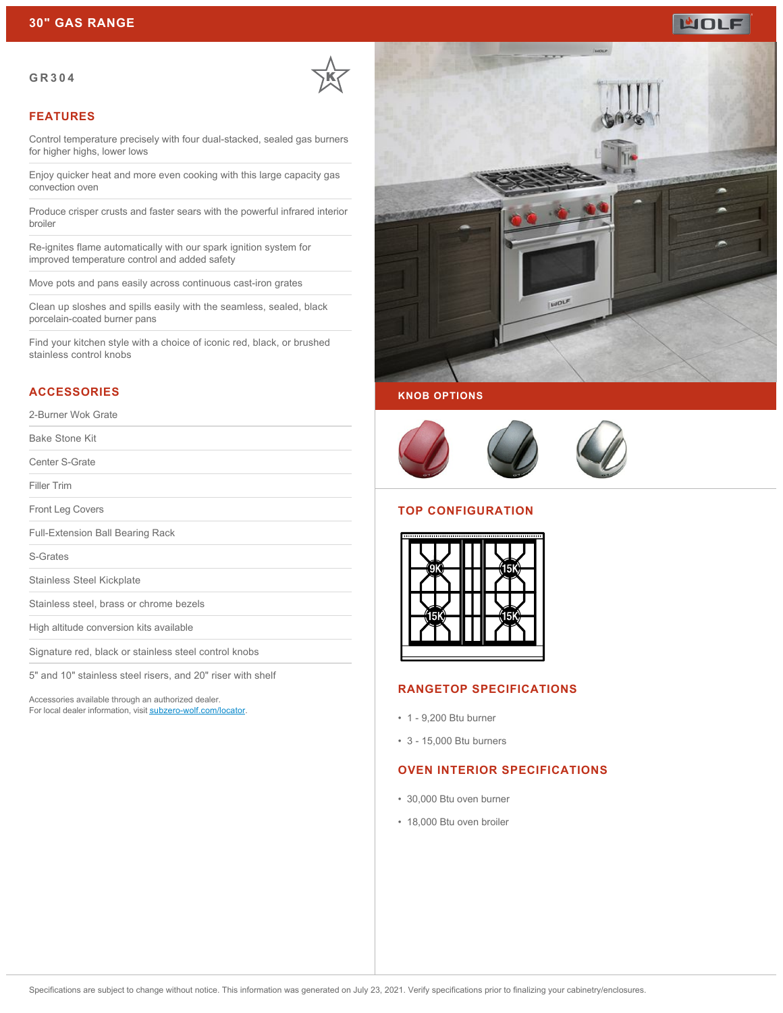# **WOLF**

#### **GR304**



#### **FEATURES**

Control temperature precisely with four dual-stacked, sealed gas burners for higher highs, lower lows

Enjoy quicker heat and more even cooking with this large capacity gas convection oven

Produce crisper crusts and faster sears with the powerful infrared interior broiler

Re-ignites flame automatically with our spark ignition system for improved temperature control and added safety

Move pots and pans easily across continuous cast-iron grates

Clean up sloshes and spills easily with the seamless, sealed, black porcelain-coated burner pans

Find your kitchen style with a choice of iconic red, black, or brushed stainless control knobs

#### **ACCESSORIES**

#### 2-Burner Wok Grate

Bake Stone Kit

Center S-Grate

Filler Trim

Front Leg Covers

Full-Extension Ball Bearing Rack

S-Grates

Stainless Steel Kickplate

Stainless steel, brass or chrome bezels

High altitude conversion kits available

Signature red, black or stainless steel control knobs

5" and 10" stainless steel risers, and 20" riser with shelf

Accessories available through an authorized dealer. For local dealer information, visit [subzero-wolf.com/locator.](http://www.subzero-wolf.com/locator)







#### **TOP CONFIGURATION**



#### **RANGETOP SPECIFICATIONS**

- 1 9,200 Btu burner
- 3 15,000 Btu burners

## **OVEN INTERIOR SPECIFICATIONS**

- 30,000 Btu oven burner
- 18,000 Btu oven broiler